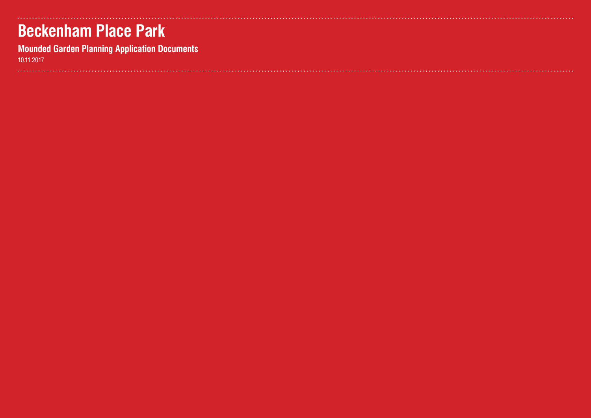## **Beckenham Place Park**

**Mounded Garden Planning Application Documents**

10.11.2017

| $\begin{array}{cccccccccccccc} \bullet & \bullet & \bullet & \bullet & \bullet & \bullet & \bullet \end{array}$ | ٠ |  |  |  |  |  |  |  |  | ٠ |  | ٠ |  | $\bullet\hspace{1mm}\bullet\hspace{1mm}$ |
|-----------------------------------------------------------------------------------------------------------------|---|--|--|--|--|--|--|--|--|---|--|---|--|------------------------------------------|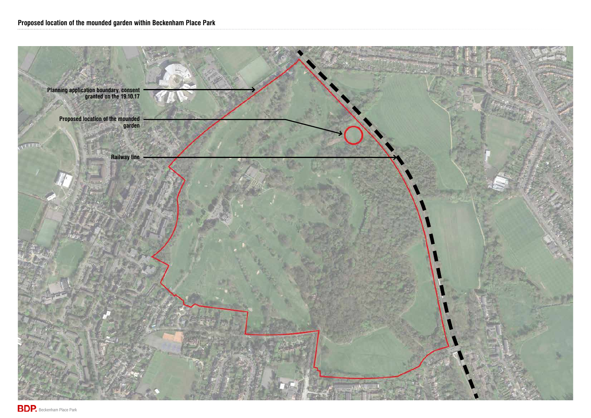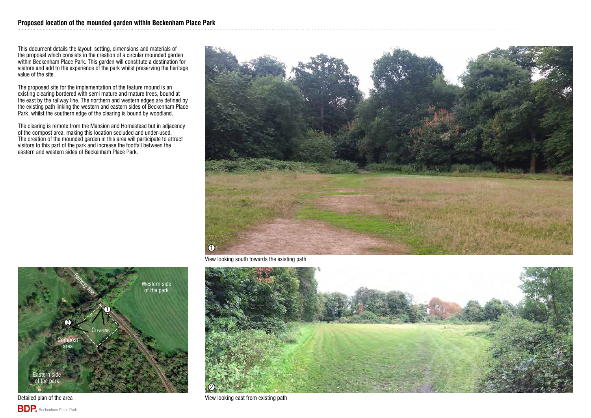This document details the layout, setting, dimensions and materials of the proposal which consists in the creation of a circular mounded garden within Beckenham Place Park. This garden will constitute a destination for visitors and add to the experience of the park whilst preserving the heritage value of the site.

The proposed site for the implementation of the feature mound is an existing clearing bordered with semi mature and mature trees, bound at the east by the railway line. The northern and western edges are defined by the existing path linking the western and eastern sides of Beckenham Place Park, whilst the southern edge of the clearing is bound by woodland.



Detailed plan of the area View looking east from existing path

The clearing is remote from the Mansion and Homestead but in adjacency of the compost area, making this location secluded and under-used. The creation of the mounded garden in this area will participate to attract visitors to this part of the park and increase the footfall between the eastern and western sides of Beckenham Place Park.





**BDP.** Beckenham Place Park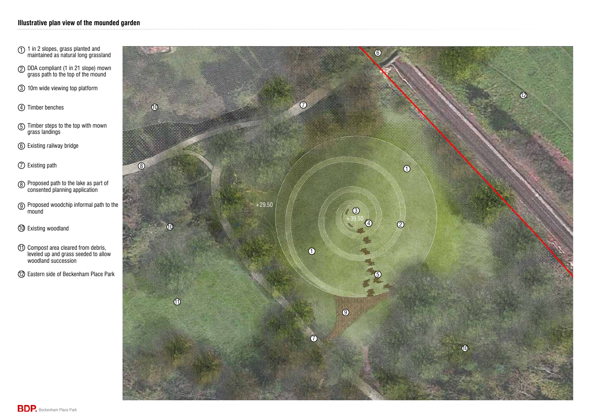

- 1 in 2 slopes, grass planted and maintained as natural long grassland
- DDA compliant (1 in 21 slope) mown grass path to the top of the mound
- 10m wide viewing top platform
- 4 Timber benches
- $1\overline{)}$   $(2\overline{)}$   $(3\overline{)}$   $(4\overline{)}$   $(5\overline{)}$   $(6\overline{)}$   $(7\overline{)}$   $(8\overline{)}$   $(9\overline{)}$ Timber steps to the top with mown grass landings
- Existing railway bridge
- Existing path
- Proposed path to the lake as part of consented planning application
- Proposed woodchip informal path to the mound
- 10 Existing woodland
- 11 Compost area cleared from debris, leveled up and grass seeded to allow woodland succession
- 12 Eastern side of Beckenham Place Park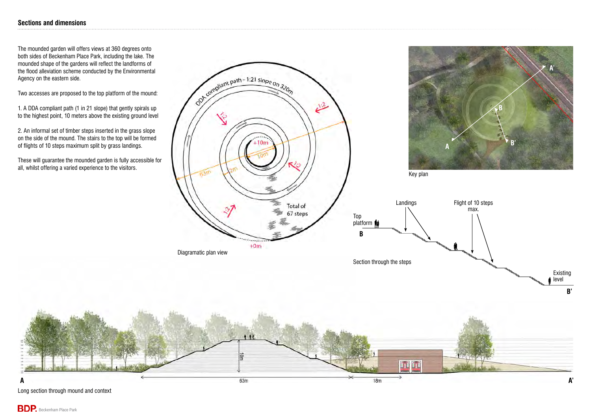## **Sections and dimensions**







The mounded garden will offers views at 360 degrees onto both sides of Beckenham Place Park, including the lake. The mounded shape of the gardens will reflect the landforms of the flood alleviation scheme conducted by the Environmental Agency on the eastern side.

Two accesses are proposed to the top platform of the mound:

1. A DDA compliant path (1 in 21 slope) that gently spirals up to the highest point, 10 meters above the existing ground level

2. An informal set of timber steps inserted in the grass slope on the side of the mound. The stairs to the top will be formed of flights of 10 steps maximum split by grass landings.

These will guarantee the mounded garden is fully accessible for all, whilst offering a varied experience to the visitors.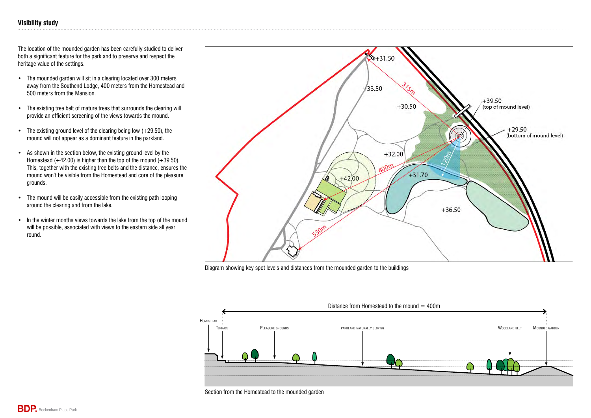## **Visibility study**

The location of the mounded garden has been carefully studied to deliver both a significant feature for the park and to preserve and respect the heritage value of the settings.

- The mounded garden will sit in a clearing located over 300 meters away from the Southend Lodge, 400 meters from the Homestead and 500 meters from the Mansion.
- The existing tree belt of mature trees that surrounds the clearing will provide an efficient screening of the views towards the mound.
- The existing ground level of the clearing being low (+29.50), the mound will not appear as a dominant feature in the parkland.
- As shown in the section below, the existing ground level by the Homestead  $(+42.00)$  is higher than the top of the mound  $(+39.50)$ . This, together with the existing tree belts and the distance, ensures the mound won't be visible from the Homestead and core of the pleasure grounds.
- The mound will be easily accessible from the existing path looping around the clearing and from the lake.
- In the winter months views towards the lake from the top of the mound will be possible, associated with views to the eastern side all year round.



Diagram showing key spot levels and distances from the mounded garden to the buildings



Section from the Homestead to the mounded garden